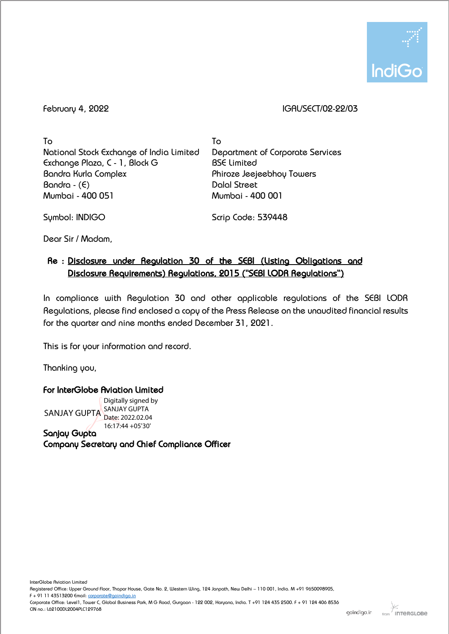

February 4, 2022 IGAL/SECT/02-22/03

To National Stock Exchange of India Limited Exchange Plaza, C - 1, Block G Bandra Kurla Complex Bandra - (E) Mumbai - 400 051

To Department of Corporate Services BSE Limited Phiroze Jeejeebhoy Towers Dalal Street Mumbai - 400 001

Symbol: INDIGO

Scrip Code: 539448

Dear Sir / Madam,

# Re : Disclosure under Regulation 30 of the SEBI (Listing Obligations and Disclosure Requirements) Regulations, 2015 ("SEBI LODR Regulations")

In compliance with Regulation 30 and other applicable regulations of the SEBI LODR Regulations, please find enclosed a copy of the Press Release on the unaudited financial results for the quarter and nine months ended December 31, 2021.

This is for your information and record.

Thanking you,

!

For InterGlobe Aviation Limited

SANJAY GUPTA SANJAY GUPTA Digitally signed by Date: 2022.02.04 16:17:44 +05'30'

Sanjay Gupta Company Secretary and Chief Compliance Officer

Corporate Office: Level1, Tower C, Global Business Park, M G Road, Gurgaon - 122 002, Haryana, India. T +91 124 435 2500. F + 91 124 406 8536 CIN no.: L62100DL2004PLC129768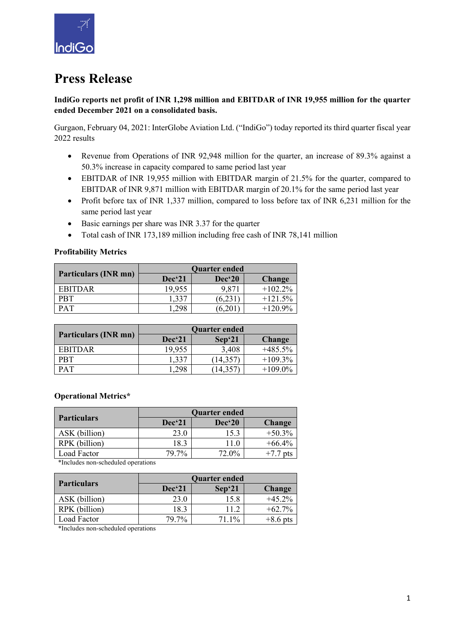

# **Press Release**

# **IndiGo reports net profit of INR 1,298 million and EBITDAR of INR 19,955 million for the quarter ended December 2021 on a consolidated basis.**

Gurgaon, February 04, 2021: InterGlobe Aviation Ltd. ("IndiGo") today reported its third quarter fiscal year 2022 results

- Revenue from Operations of INR 92,948 million for the quarter, an increase of 89.3% against a 50.3% increase in capacity compared to same period last year
- EBITDAR of INR 19,955 million with EBITDAR margin of 21.5% for the quarter, compared to EBITDAR of INR 9,871 million with EBITDAR margin of 20.1% for the same period last year
- Profit before tax of INR 1,337 million, compared to loss before tax of INR 6,231 million for the same period last year
- Basic earnings per share was INR 3.37 for the quarter
- Total cash of INR 173,189 million including free cash of INR 78,141 million

# **Profitability Metrics**

|                      | Quarter ended     |           |           |  |
|----------------------|-------------------|-----------|-----------|--|
| Particulars (INR mn) | Dec <sup>21</sup> | $Dec^620$ | Change    |  |
| <b>EBITDAR</b>       | 19,955            | 9,871     | $+102.2%$ |  |
| <b>PBT</b>           | 1,337             | 6.231     | $+121.5%$ |  |
| <b>PAT</b>           | .298              |           | $+120.9%$ |  |

|                      | <b>Quarter ended</b> |           |               |  |
|----------------------|----------------------|-----------|---------------|--|
| Particulars (INR mn) | Dec <sup>21</sup>    | $Sep^21$  | <b>Change</b> |  |
| EBITDAR              | 19,955               | 3,408     | $+485.5%$     |  |
| <b>PBT</b>           | 1,337                | (14, 357) | $+109.3\%$    |  |
| <b>PAT</b>           | .298                 | 14.357    | $+109.0\%$    |  |

## **Operational Metrics\***

|                    | <b>Quarter ended</b> |                   |               |  |
|--------------------|----------------------|-------------------|---------------|--|
| <b>Particulars</b> | $Dec^21$             | Dec <sup>20</sup> | <b>Change</b> |  |
| ASK (billion)      | 23.0                 | 15.3              | $+50.3%$      |  |
| RPK (billion)      | 18.3                 | 11.0              | $+66.4%$      |  |
| Load Factor        | 79.7%                | 72.0%             | $+7.7$ pts    |  |

\*Includes non-scheduled operations

| <b>Quarter ended</b> |        |               |  |
|----------------------|--------|---------------|--|
| Dec <sup>21</sup>    | Sep`21 | <b>Change</b> |  |
| 23.0                 | 15.8   | $+45.2%$      |  |
| 18.3                 | 11.2   | $+62.7\%$     |  |
| 79.7%                | 71.1%  | $+8.6$ pts    |  |
|                      |        |               |  |

\*Includes non-scheduled operations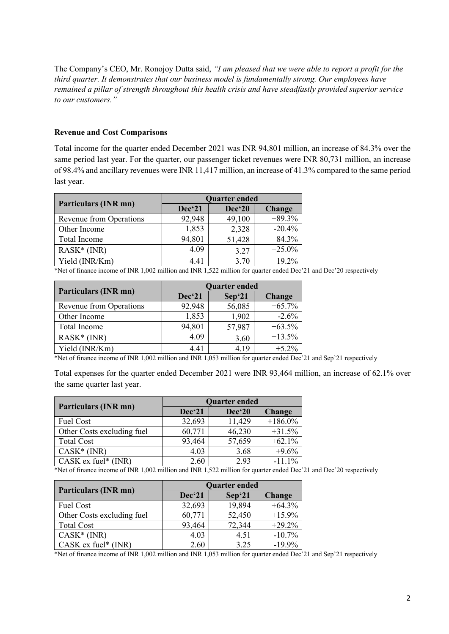The Company's CEO, Mr. Ronojoy Dutta said, *"I am pleased that we were able to report a profit for the third quarter. It demonstrates that our business model is fundamentally strong. Our employees have remained a pillar of strength throughout this health crisis and have steadfastly provided superior service to our customers."*

#### **Revenue and Cost Comparisons**

Total income for the quarter ended December 2021 was INR 94,801 million, an increase of 84.3% over the same period last year. For the quarter, our passenger ticket revenues were INR 80,731 million, an increase of 98.4% and ancillary revenues were INR 11,417 million, an increase of 41.3% compared to the same period last year.

| <b>Particulars (INR mn)</b> | <b>Quarter ended</b> |                   |               |  |
|-----------------------------|----------------------|-------------------|---------------|--|
|                             | Dec <sup>21</sup>    | Dec <sup>20</sup> | <b>Change</b> |  |
| Revenue from Operations     | 92,948               | 49,100            | $+89.3%$      |  |
| Other Income                | 1,853                | 2,328             | $-20.4%$      |  |
| Total Income                | 94,801               | 51,428            | $+84.3%$      |  |
| $RASK*(INR)$                | 4.09                 | 3.27              | $+25.0%$      |  |
| Yield (INR/Km)              | 4.41                 | 3.70              | $+19.2%$      |  |

\*Net of finance income of INR 1,002 million and INR 1,522 million for quarter ended Dec'21 and Dec'20 respectively

|                             | <b>Quarter ended</b> |                   |          |  |
|-----------------------------|----------------------|-------------------|----------|--|
| <b>Particulars (INR mn)</b> | Dec <sup>21</sup>    | Sep <sup>21</sup> | Change   |  |
| Revenue from Operations     | 92,948               | 56,085            | $+65.7%$ |  |
| Other Income                | 1,853                | 1,902             | $-2.6\%$ |  |
| Total Income                | 94,801               | 57,987            | $+63.5%$ |  |
| $RASK*(INR)$                | 4.09                 | 3.60              | $+13.5%$ |  |
| Yield (INR/Km)              | 4.41                 | 4.19              | $+5.2\%$ |  |

\*Net of finance income of INR 1,002 million and INR 1,053 million for quarter ended Dec'21 and Sep'21 respectively

Total expenses for the quarter ended December 2021 were INR 93,464 million, an increase of 62.1% over the same quarter last year.

|                            | <b>Quarter ended</b> |                   |               |  |
|----------------------------|----------------------|-------------------|---------------|--|
| Particulars (INR mn)       | Dec'21               | Dec <sup>20</sup> | <b>Change</b> |  |
| Fuel Cost                  | 32,693               | 11,429            | $+186.0\%$    |  |
| Other Costs excluding fuel | 60,771               | 46,230            | $+31.5%$      |  |
| <b>Total Cost</b>          | 93,464               | 57,659            | $+62.1%$      |  |
| $CASK*(INR)$               | 4.03                 | 3.68              | $+9.6%$       |  |
| $CASK$ ex fuel* (INR)      | 2.60                 | 2.93              | $-11.1%$      |  |

\*Net of finance income of INR 1,002 million and INR 1,522 million for quarter ended Dec'21 and Dec'20 respectively

|                            | <b>Quarter ended</b> |          |               |  |
|----------------------------|----------------------|----------|---------------|--|
| Particulars (INR mn)       | Dec'21               | $Sep^21$ | <b>Change</b> |  |
| Fuel Cost                  | 32,693               | 19,894   | $+64.3%$      |  |
| Other Costs excluding fuel | 60,771               | 52,450   | $+15.9%$      |  |
| <b>Total Cost</b>          | 93,464               | 72,344   | $+29.2%$      |  |
| $CASK*(INR)$               | 4.03                 | 4.51     | $-10.7%$      |  |
| $CASK$ ex fuel* $(INR)$    | 2.60                 | 3.25     | $-19.9%$      |  |

\*Net of finance income of INR 1,002 million and INR 1,053 million for quarter ended Dec'21 and Sep'21 respectively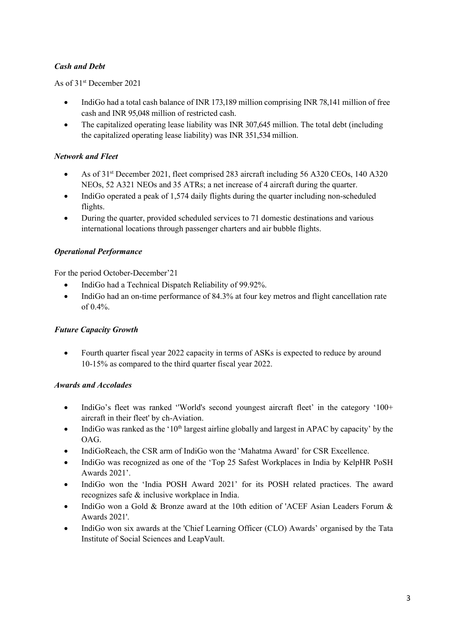# *Cash and Debt*

As of 31st December 2021

- IndiGo had a total cash balance of INR 173,189 million comprising INR 78,141 million of free cash and INR 95,048 million of restricted cash.
- The capitalized operating lease liability was INR 307.645 million. The total debt (including the capitalized operating lease liability) was INR 351,534 million.

# *Network and Fleet*

- As of 31<sup>st</sup> December 2021, fleet comprised 283 aircraft including 56 A320 CEOs, 140 A320 NEOs, 52 A321 NEOs and 35 ATRs; a net increase of 4 aircraft during the quarter.
- IndiGo operated a peak of 1,574 daily flights during the quarter including non-scheduled flights.
- During the quarter, provided scheduled services to 71 domestic destinations and various international locations through passenger charters and air bubble flights.

# *Operational Performance*

For the period October-December'21

- IndiGo had a Technical Dispatch Reliability of 99.92%.
- IndiGo had an on-time performance of 84.3% at four key metros and flight cancellation rate of 0.4%.

## *Future Capacity Growth*

• Fourth quarter fiscal year 2022 capacity in terms of ASKs is expected to reduce by around 10-15% as compared to the third quarter fiscal year 2022.

## *Awards and Accolades*

- IndiGo's fleet was ranked "World's second youngest aircraft fleet' in the category '100+ aircraft in their fleet' by ch-Aviation.
- IndiGo was ranked as the ' $10<sup>th</sup>$  largest airline globally and largest in APAC by capacity' by the OAG.
- IndiGoReach, the CSR arm of IndiGo won the 'Mahatma Award' for CSR Excellence.
- IndiGo was recognized as one of the 'Top 25 Safest Workplaces in India by KelpHR PoSH Awards 2021'.
- IndiGo won the 'India POSH Award 2021' for its POSH related practices. The award recognizes safe & inclusive workplace in India.
- IndiGo won a Gold & Bronze award at the 10th edition of 'ACEF Asian Leaders Forum & Awards 2021'.
- IndiGo won six awards at the 'Chief Learning Officer (CLO) Awards' organised by the Tata Institute of Social Sciences and LeapVault.